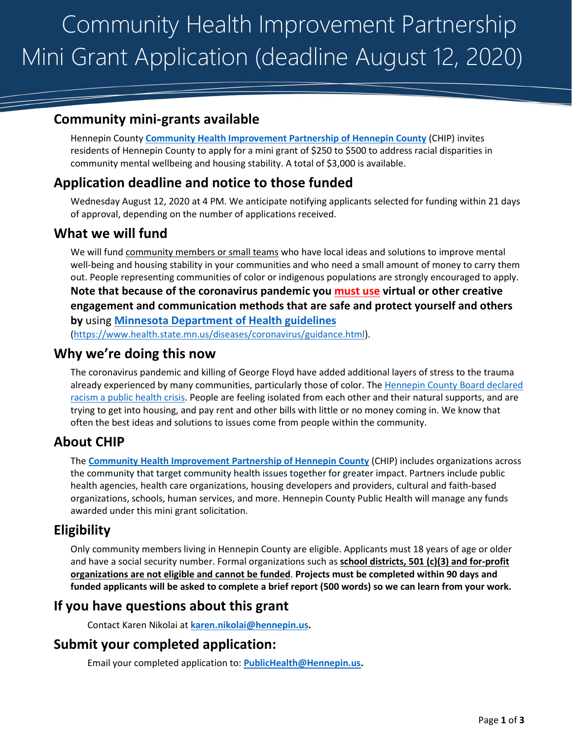# Community Health Improvement Partnership Mini Grant Application (deadline August 12, 2020)

# **Community mini-grants available**

Hennepin County **[Community Health Improvement Partnership of Hennepin County](https://www.hennepin.us/chip)** (CHIP) invites residents of Hennepin County to apply for a mini grant of \$250 to \$500 to address racial disparities in community mental wellbeing and housing stability. A total of \$3,000 is available.

# **Application deadline and notice to those funded**

Wednesday August 12, 2020 at 4 PM. We anticipate notifying applicants selected for funding within 21 days of approval, depending on the number of applications received.

### **What we will fund**

We will fund community members or small teams who have local ideas and solutions to improve mental well-being and housing stability in your communities and who need a small amount of money to carry them out. People representing communities of color or indigenous populations are strongly encouraged to apply. **Note that because of the coronavirus pandemic you must use virtual or other creative engagement and communication methods that are safe and protect yourself and others by** using **[Minnesota Department of Health guidelines](https://www.health.state.mn.us/diseases/coronavirus/guidance.html)**

[\(https://www.health.state.mn.us/diseases/coronavirus/guidance.html\)](https://www.health.state.mn.us/diseases/coronavirus/guidance.html).

#### **Why we're doing this now**

The coronavirus pandemic and killing of George Floyd have added additional layers of stress to the trauma already experienced by many communities, particularly those of color. The Hennepin County Board declared [racism a public health crisis.](https://hennepin.novusagenda.com/agendapublic/CoverSheet.aspx?ItemID=9375&MeetingID=1020) People are feeling isolated from each other and their natural supports, and are trying to get into housing, and pay rent and other bills with little or no money coming in. We know that often the best ideas and solutions to issues come from people within the community.

# **About CHIP**

The **[Community Health Improvement Partnership of Hennepin County](https://www.hennepin.us/chip)** (CHIP) includes organizations across the community that target community health issues together for greater impact. Partners include public health agencies, health care organizations, housing developers and providers, cultural and faith-based organizations, schools, human services, and more. Hennepin County Public Health will manage any funds awarded under this mini grant solicitation.

# **Eligibility**

Only community members living in Hennepin County are eligible. Applicants must 18 years of age or older and have a social security number. Formal organizations such as **school districts, 501 (c)(3) and for-profit organizations are not eligible and cannot be funded**. **Projects must be completed within 90 days and funded applicants will be asked to complete a brief report (500 words) so we can learn from your work.**

# **If you have questions about this grant**

Contact Karen Nikolai at **[karen.nikolai@hennepin.us.](mailto:karen.nikolai@hennepin.us)**

#### **Submit your completed application:**

Email your completed application to: **[PublicHealth@Hennepin.us.](mailto:PublicHealth@Hennepin.us)**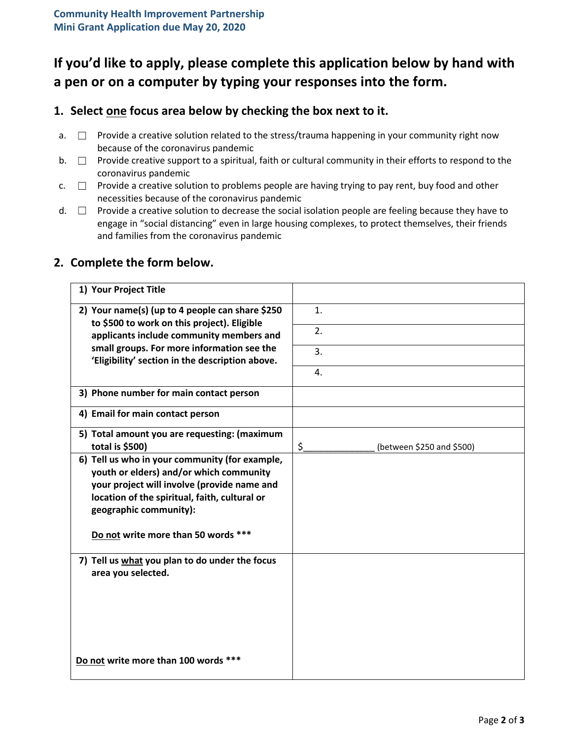# **If you'd like to apply, please complete this application below by hand with a pen or on a computer by typing your responses into the form.**

#### **1. Select one focus area below by checking the box next to it.**

- a.  $\square$  Provide a creative solution related to the stress/trauma happening in your community right now because of the coronavirus pandemic
- b. □ Provide creative support to a spiritual, faith or cultural community in their efforts to respond to the coronavirus pandemic
- $c. \Box$  Provide a creative solution to problems people are having trying to pay rent, buy food and other necessities because of the coronavirus pandemic
- d. □ Provide a creative solution to decrease the social isolation people are feeling because they have to engage in "social distancing" even in large housing complexes, to protect themselves, their friends and families from the coronavirus pandemic

| 1) Your Project Title                                                                                                                                                                                               |                                      |
|---------------------------------------------------------------------------------------------------------------------------------------------------------------------------------------------------------------------|--------------------------------------|
| 2) Your name(s) (up to 4 people can share \$250<br>to \$500 to work on this project). Eligible                                                                                                                      | 1 <sub>1</sub>                       |
| applicants include community members and                                                                                                                                                                            | 2.                                   |
| small groups. For more information see the<br>'Eligibility' section in the description above.                                                                                                                       | 3.                                   |
|                                                                                                                                                                                                                     | 4.                                   |
| 3) Phone number for main contact person                                                                                                                                                                             |                                      |
| 4) Email for main contact person                                                                                                                                                                                    |                                      |
| 5) Total amount you are requesting: (maximum<br>total is \$500)                                                                                                                                                     | $\zeta$<br>(between \$250 and \$500) |
| 6) Tell us who in your community (for example,<br>youth or elders) and/or which community<br>your project will involve (provide name and<br>location of the spiritual, faith, cultural or<br>geographic community): |                                      |
| Do not write more than 50 words ***                                                                                                                                                                                 |                                      |
| 7) Tell us what you plan to do under the focus<br>area you selected.                                                                                                                                                |                                      |
| Do not write more than 100 words ***                                                                                                                                                                                |                                      |

#### **2. Complete the form below.**